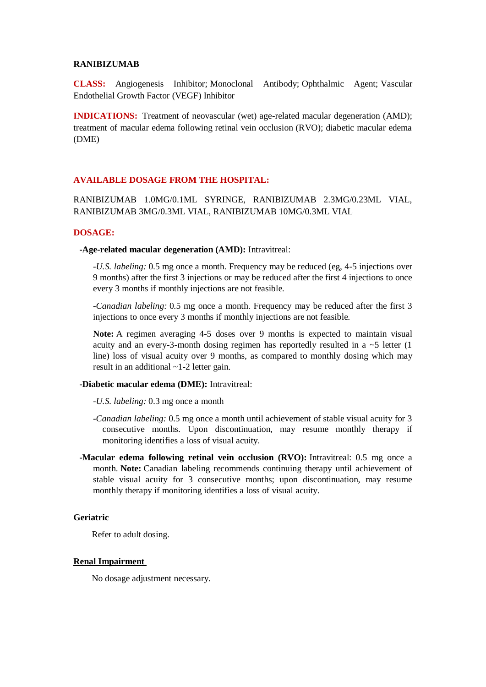#### **RANIBIZUMAB**

**CLASS:** Angiogenesis Inhibitor; Monoclonal Antibody; Ophthalmic Agent; Vascular Endothelial Growth Factor (VEGF) Inhibitor

**INDICATIONS:** Treatment of neovascular (wet) age-related macular degeneration (AMD); treatment of macular edema following retinal vein occlusion (RVO); diabetic macular edema (DME)

## **AVAILABLE DOSAGE FROM THE HOSPITAL:**

RANIBIZUMAB 1.0MG/0.1ML SYRINGE, RANIBIZUMAB 2.3MG/0.23ML VIAL, RANIBIZUMAB 3MG/0.3ML VIAL, RANIBIZUMAB 10MG/0.3ML VIAL

#### **DOSAGE:**

**-Age-related macular degeneration (AMD):** Intravitreal:

*-U.S. labeling:* 0.5 mg once a month. Frequency may be reduced (eg, 4-5 injections over 9 months) after the first 3 injections or may be reduced after the first 4 injections to once every 3 months if monthly injections are not feasible.

*-Canadian labeling:* 0.5 mg once a month. Frequency may be reduced after the first 3 injections to once every 3 months if monthly injections are not feasible.

**Note:** A regimen averaging 4-5 doses over 9 months is expected to maintain visual acuity and an every-3-month dosing regimen has reportedly resulted in a  $\sim$  5 letter (1) line) loss of visual acuity over 9 months, as compared to monthly dosing which may result in an additional ~1-2 letter gain.

#### **-Diabetic macular edema (DME):** Intravitreal:

*-U.S. labeling:* 0.3 mg once a month

- *-Canadian labeling:* 0.5 mg once a month until achievement of stable visual acuity for 3 consecutive months. Upon discontinuation, may resume monthly therapy if monitoring identifies a loss of visual acuity.
- **-Macular edema following retinal vein occlusion (RVO):** Intravitreal: 0.5 mg once a month. **Note:** Canadian labeling recommends continuing therapy until achievement of stable visual acuity for 3 consecutive months; upon discontinuation, may resume monthly therapy if monitoring identifies a loss of visual acuity.

### **Geriatric**

Refer to adult dosing.

## **Renal Impairment**

No dosage adjustment necessary.